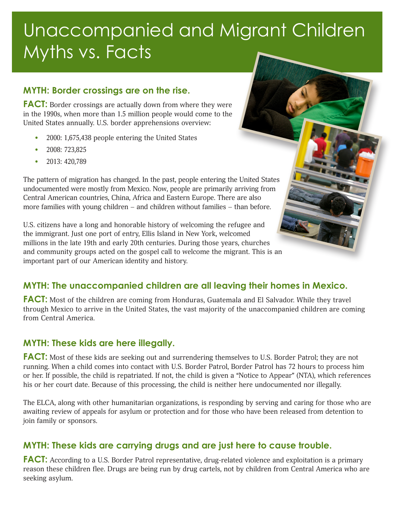# Unaccompanied and Migrant Children Myths vs. Facts

## **MYTH: Border crossings are on the rise.**

**FACT:** Border crossings are actually down from where they were in the 1990s, when more than 1.5 million people would come to the United States annually. U.S. border apprehensions overview:

- 2000: 1,675,438 people entering the United States
- 2008: 723,825
- 2013: 420,789

The pattern of migration has changed. In the past, people entering the United States undocumented were mostly from Mexico. Now, people are primarily arriving from Central American countries, China, Africa and Eastern Europe. There are also more families with young children – and children without families – than before.

U.S. citizens have a long and honorable history of welcoming the refugee and the immigrant. Just one port of entry, Ellis Island in New York, welcomed millions in the late 19th and early 20th centuries. During those years, churches and community groups acted on the gospel call to welcome the migrant. This is an important part of our American identity and history.

# **MYTH: The unaccompanied children are all leaving their homes in Mexico.**

**FACT:** Most of the children are coming from Honduras, Guatemala and El Salvador. While they travel through Mexico to arrive in the United States, the vast majority of the unaccompanied children are coming from Central America.

## **MYTH: These kids are here illegally.**

**FACT:** Most of these kids are seeking out and surrendering themselves to U.S. Border Patrol; they are not running. When a child comes into contact with U.S. Border Patrol, Border Patrol has 72 hours to process him or her. If possible, the child is repatriated. If not, the child is given a "Notice to Appear" (NTA), which references his or her court date. Because of this processing, the child is neither here undocumented nor illegally.

The ELCA, along with other humanitarian organizations, is responding by serving and caring for those who are awaiting review of appeals for asylum or protection and for those who have been released from detention to join family or sponsors.

## **MYTH: These kids are carrying drugs and are just here to cause trouble.**

**FACT:** According to a U.S. Border Patrol representative, drug-related violence and exploitation is a primary reason these children flee. Drugs are being run by drug cartels, not by children from Central America who are seeking asylum.